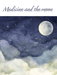Medicine and the moon

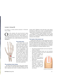# Leonard J. Hoenig, MD

Dr. Hoenig is a private practice physician in Pembroke Pines, Florida.

**CERC** ver the centuries, the moon has lent its name to describe human anatomy and disease. To commemorate the July 20, 1969 Apollo 11 lu-<br>nar landing, more than 50 years ago, some of medicine's ver the centuries, the moon has lent its name to describe human anatomy and disease. To commemorate the July 20, 1969 Apollo 11 lumost memorable moon related eponyms deserve to be highlighted.



## The lunate bone

The lunate bone in the wrist was first named by Michael Lyser (1626–1660), a German physician and anatomist. Lyser studied medicine in Copenhagen, and in 1653 published his work Culter Anatomicus, in which he named the eight carpel bones.<sup>1</sup> He used the Latin term lunatum to describe the lunate bone because of its half-moon (semilunarem) form. Prior to Lyser's time, the wrist bones were identified by their numerical position in the carpal series.

# The semilunar heart valves

The shape of the semilunar heart valves (aortic and pulmonary valves) was first described by Philistion of Locri, Italy, a physician and writer on medicine during the 4th

Century BCE.<sup>2</sup> Philistion wrote that these valves appear in the form of "half-cut of a circle," as translated from the original Greek text ἡμίτομα κυκλου (hemitoma kuklou).

In another anatomic writing, Philistion used the term "moon-shaped," or mênoeides (μηνοειδές) in the original Greek text, to describe the difference between the front and back of the shoulder. <sup>3</sup>

# The lunula of the human nail

Lunula means "little moon" in Latin and has been used to describe human nail anatomy since the 1800s. The lunula is the small, whitish half-moon shaped part of the visible nail matrix. It is best seen on the thumb and big toe. Alterations in the morphology and color of the lunula can be an indication of a cutaneous or a systemic disorder,<sup>4</sup> such as:

- Macrolunula (enlarged lunula) can be seen in hyperthyroidism, and leprosy.
- Microlunula (diminished lunula size) and anolunula (absence of the lunula) can be seen in atherosclerosis, HIV infection, Trisomy 21, renal failure, multiple myeloma, and acromegaly.
- Blue lunula can be found in argyria and hepatolenticular degeneration.
- Red lunula can be found in carbon monoxide poisoning, rheumatoid arthritis, systemic lupus erythematosus, congestive heart failure, and chronic obstructive pulmonary disease.



Illustration by Claire Gilmore